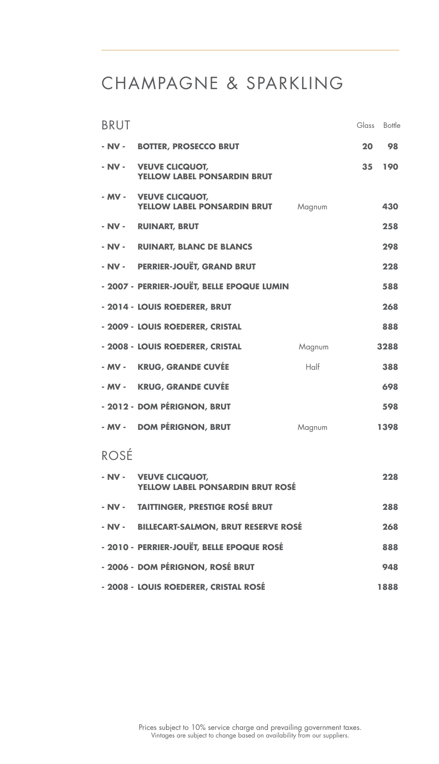## CHAMPAGNE & SPARKLING

| <b>BRUT</b>                                                               | Glass | Bottle |
|---------------------------------------------------------------------------|-------|--------|
| - NV - BOTTER, PROSECCO BRUT                                              | 20    | 98     |
| - NV -<br><b>VEUVE CLICQUOT,</b><br><b>YELLOW LABEL PONSARDIN BRUT</b>    | 35    | 190    |
| - MV -<br><b>VEUVE CLICQUOT,</b><br>YELLOW LABEL PONSARDIN BRUT<br>Magnum |       | 430    |
| - NV - RUINART, BRUT                                                      |       | 258    |
| - NV - RUINART, BLANC DE BLANCS                                           |       | 298    |
| - NV - PERRIER-JOUËT, GRAND BRUT                                          |       | 228    |
| - 2007 - PERRIER-JOUËT, BELLE EPOQUE LUMIN                                |       | 588    |
| - 2014 - LOUIS ROEDERER, BRUT                                             |       | 268    |
| - 2009 - LOUIS ROEDERER, CRISTAL                                          |       | 888    |
| - 2008 - LOUIS ROEDERER, CRISTAL<br>Magnum                                |       | 3288   |
| - MV - KRUG, GRANDE CUVÉE<br>$H$ <sub>n</sub>                             |       | 388    |
| - MV - KRUG, GRANDE CUVÉE                                                 |       | 698    |
| - 2012 - DOM PÉRIGNON, BRUT                                               |       | 598    |
| - MV - DOM PÉRIGNON, BRUT<br>Magnum                                       |       | 1398   |
| ROSÉ                                                                      |       |        |
| - NV -<br><b>VEUVE CLICQUOT,</b><br>YELLOW LABEL PONSARDIN BRUT ROSE      |       | 228    |

**- NV - TAITTINGER, PRESTIGE ROSÉ BRUT 288**

**- NV - BILLECART-SALMON, BRUT RESERVE ROSÉ 268**

**- 2010 - PERRIER-JOUËT, BELLE EPOQUE ROSÉ 888**

**- 2006 - DOM PÉRIGNON, ROSÉ BRUT 948**

**- 2008 - LOUIS ROEDERER, CRISTAL ROSÉ 1888**

### Prices subject to 10% service charge and prevailing government taxes. Vintages are subject to change based on availability from our suppliers.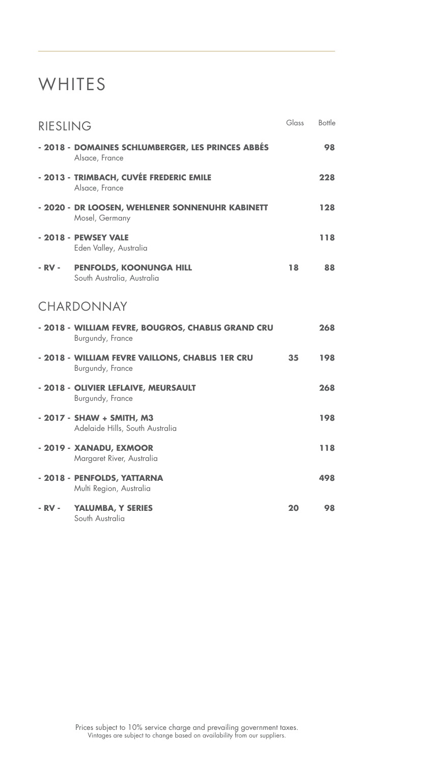## **WHITES**

| RIESLING |                                                                        | Glass | Bottle |
|----------|------------------------------------------------------------------------|-------|--------|
|          | - 2018 - DOMAINES SCHLUMBERGER, LES PRINCES ABBÉS<br>Alsace, France    |       | 98     |
|          | - 2013 - TRIMBACH, CUVÉE FREDERIC EMILE<br>Alsace, France              |       | 228    |
|          | - 2020 - DR LOOSEN, WEHLENER SONNENUHR KABINETT<br>Mosel, Germany      |       | 128    |
|          | - 2018 - PEWSEY VALE<br>Eden Valley, Australia                         |       | 118    |
| - RV -   | PENFOLDS, KOONUNGA HILL<br>South Australia, Australia                  | 18    | 88     |
|          | CHARDONNAY                                                             |       |        |
|          | - 2018 - WILLIAM FEVRE, BOUGROS, CHABLIS GRAND CRU<br>Burgundy, France |       | 268    |
|          | - 2018 - WILLIAM FEVRE VAILLONS, CHABLIS 1ER CRU<br>Burgundy, France   | 35    | 198    |
|          | - 2018 - OLIVIER LEFLAIVE, MEURSAULT<br>Burgundy, France               |       | 268    |
|          | - 2017 - SHAW + SMITH, M3<br>Adelaide Hills, South Australia           |       | 198    |
|          | - 2019 - XANADU, EXMOOR<br>Margaret River, Australia                   |       | 118    |
|          | - 2018 - PENFOLDS, YATTARNA<br>Multi Region, Australia                 |       | 498    |
| - RV -   | YALUMBA, Y SERIES<br>South Australia                                   | 20    | 98     |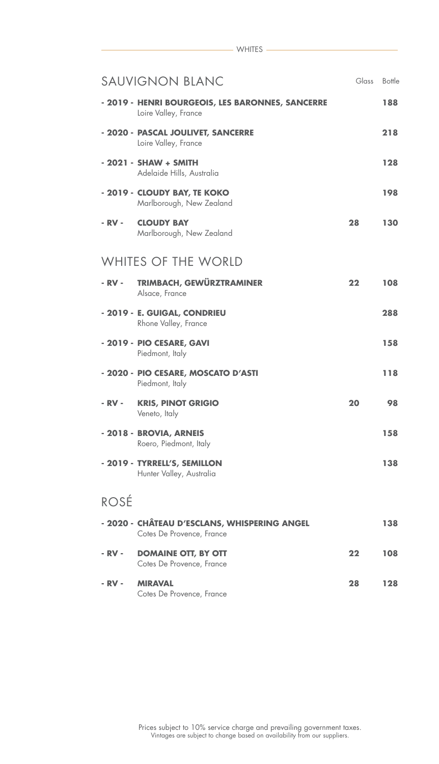| <b>SAUVIGNON BLANC</b>                                                    | Glass | Bottle |
|---------------------------------------------------------------------------|-------|--------|
| - 2019 - HENRI BOURGEOIS, LES BARONNES, SANCERRE<br>Loire Valley, France  |       | 188    |
| - 2020 - PASCAL JOULIVET, SANCERRE<br>Loire Valley, France                |       | 218    |
| - 2021 - SHAW + SMITH<br>Adelaide Hills, Australia                        |       | 128    |
| - 2019 - CLOUDY BAY, TE KOKO<br>Marlborough, New Zealand                  |       | 198    |
| - RV -<br><b>CLOUDY BAY</b><br>Marlborough, New Zealand                   | 28    | 130    |
| <b>WHITES OF THE WORLD</b>                                                |       |        |
| <b>TRIMBACH, GEWÜRZTRAMINER</b><br>- RV -<br>Alsace, France               | 22    | 108    |
| - 2019 - E. GUIGAL, CONDRIEU<br>Rhone Valley, France                      |       | 288    |
| - 2019 - PIO CESARE, GAVI<br>Piedmont, Italy                              |       | 158    |
| - 2020 - PIO CESARE, MOSCATO D'ASTI<br>Piedmont, Italy                    |       | 118    |
| <b>KRIS, PINOT GRIGIO</b><br>- RV -<br>Veneto, Italy                      | 20    | 98     |
| - 2018 - BROVIA, ARNEIS<br>Roero, Piedmont, Italy                         |       | 158    |
| - 2019 - TYRRELL'S, SEMILLON<br>Hunter Valley, Australia                  |       | 138    |
| ROSÉ                                                                      |       |        |
| - 2020 - CHÂTEAU D'ESCLANS, WHISPERING ANGEL<br>Cotes De Provence, France |       | 138    |
| <b>DOMAINE OTT, BY OTT</b><br>- RV -<br>Cotes De Provence, France         | 22    | 108    |
| - RV -<br><b>MIRAVAL</b><br>Cotes De Provence, France                     | 28    | 128    |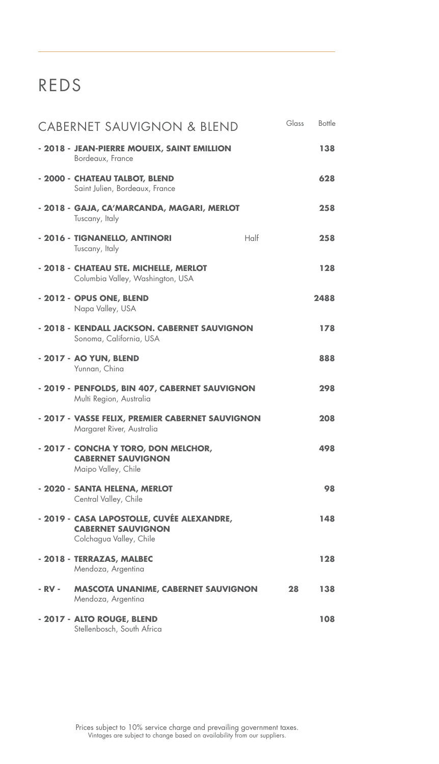# REDS

| <b>CABERNET SAUVIGNON &amp; BLEND</b>                                                              | Glass<br>Bottle |
|----------------------------------------------------------------------------------------------------|-----------------|
| - 2018 - JEAN-PIERRE MOUEIX, SAINT EMILLION<br>Bordeaux, France                                    | 138             |
| - 2000 - CHATEAU TALBOT, BLEND<br>Saint Julien, Bordeaux, France                                   | 628             |
| - 2018 - GAJA, CA'MARCANDA, MAGARI, MERLOT<br>Tuscany, Italy                                       | 258             |
| $H$ alf<br>- 2016 - TIGNANELLO, ANTINORI<br>Tuscany, Italy                                         | 258             |
| - 2018 - CHATEAU STE. MICHELLE, MERLOT<br>Columbia Valley, Washington, USA                         | 128             |
| - 2012 - OPUS ONE, BLEND<br>Napa Valley, USA                                                       | 2488            |
| - 2018 - KENDALL JACKSON. CABERNET SAUVIGNON<br>Sonoma, California, USA                            | 178             |
| - 2017 - AO YUN, BLEND<br>Yunnan, China                                                            | 888             |
| - 2019 - PENFOLDS, BIN 407, CABERNET SAUVIGNON<br>Multi Region, Australia                          | 298             |
| - 2017 - VASSE FELIX, PREMIER CABERNET SAUVIGNON<br>Margaret River, Australia                      | 208             |
| - 2017 - CONCHA Y TORO, DON MELCHOR,<br><b>CABERNET SAUVIGNON</b><br>Maipo Valley, Chile           | 498             |
| - 2020 - SANTA HELENA, MERLOT<br>Central Valley, Chile                                             | 98              |
| - 2019 - CASA LAPOSTOLLE, CUVÉE ALEXANDRE,<br><b>CABERNET SAUVIGNON</b><br>Colchagua Valley, Chile | 148             |
| - 2018 - TERRAZAS, MALBEC<br>Mendoza, Argentina                                                    | 128             |
| - RV -<br><b>MASCOTA UNANIME, CABERNET SAUVIGNON</b><br>Mendoza, Argentina                         | 28<br>138       |
| - 2017 - ALTO ROUGE, BLEND<br>Stellenbosch, South Africa                                           | 108             |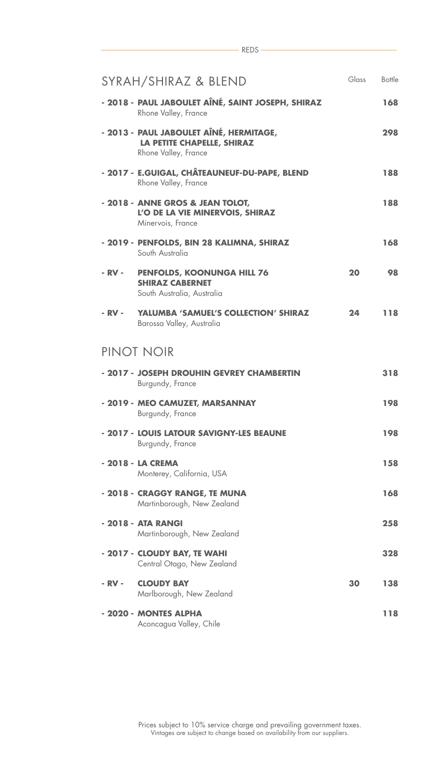| SYRAH/SHIRAZ & BLEND                                                                                 | Glass | Bottle |
|------------------------------------------------------------------------------------------------------|-------|--------|
| - 2018 - PAUL JABOULET AÎNÉ, SAINT JOSEPH, SHIRAZ<br>Rhone Valley, France                            |       | 168    |
| - 2013 - PAUL JABOULET AÎNÉ, HERMITAGE,<br><b>LA PETITE CHAPELLE, SHIRAZ</b><br>Rhone Valley, France |       | 298    |
| - 2017 - E.GUIGAL, CHÂTEAUNEUF-DU-PAPE, BLEND<br>Rhone Valley, France                                |       | 188    |
| - 2018 - ANNE GROS & JEAN TOLOT,<br>L'O DE LA VIE MINERVOIS, SHIRAZ<br>Minervois, France             |       | 188    |
| - 2019 - PENFOLDS, BIN 28 KALIMNA, SHIRAZ<br>South Australia                                         |       | 168    |
| - RV -<br><b>PENFOLDS, KOONUNGA HILL 76</b><br><b>SHIRAZ CABERNET</b><br>South Australia, Australia  | 20    | 98     |
| - RV -<br><b>YALUMBA 'SAMUEL'S COLLECTION' SHIRAZ</b><br>Barossa Valley, Australia                   | 24    | 118    |
| PINOT NOIR                                                                                           |       |        |
| - 2017 - JOSEPH DROUHIN GEVREY CHAMBERTIN<br>Burgundy, France                                        |       | 318    |
| - 2019 - MEO CAMUZET, MARSANNAY<br>Burgundy, France                                                  |       | 198    |
| - 2017 - LOUIS LATOUR SAVIGNY-LES BEAUNE<br>Burgundy, France                                         |       | 198    |
| - 2018 - LA CREMA<br>Monterey, California, USA                                                       |       | 158    |
| - 2018 - CRAGGY RANGE, TE MUNA<br>Martinborough, New Zealand                                         |       | 168    |
| - 2018 - ATA RANGI<br>Martinborough, New Zealand                                                     |       | 258    |
| - 2017 - CLOUDY BAY, TE WAHI<br>Central Otago, New Zealand                                           |       | 328    |
| <b>CLOUDY BAY</b><br>- RV -<br>Marlborough, New Zealand                                              | 30    | 138    |
| - 2020 - MONTES ALPHA<br>Aconcagua Valley, Chile                                                     |       | 118    |

REDS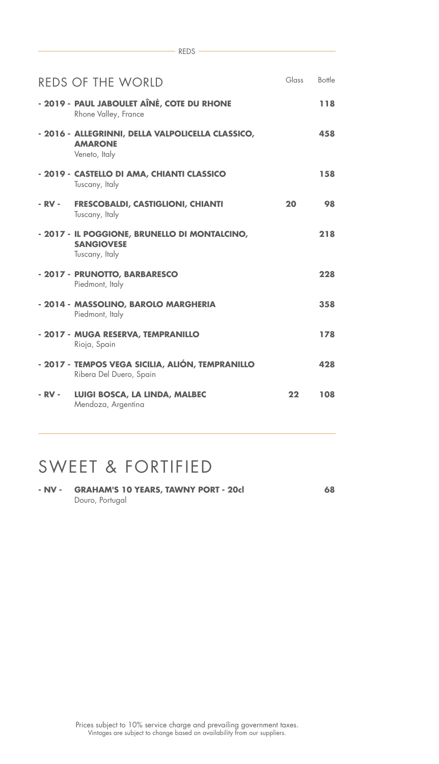|        | <b>REDS OF THE WORLD</b>                                                             | Glass | <b>Bottle</b> |
|--------|--------------------------------------------------------------------------------------|-------|---------------|
|        | - 2019 - PAUL JABOULET AÎNÉ, COTE DU RHONE<br>Rhone Valley, France                   |       | 118           |
|        | - 2016 - ALLEGRINNI, DELLA VALPOLICELLA CLASSICO,<br><b>AMARONE</b><br>Veneto, Italy |       | 458           |
|        | - 2019 - CASTELLO DI AMA, CHIANTI CLASSICO<br>Tuscany, Italy                         |       | 158           |
|        | - RV - FRESCOBALDI, CASTIGLIONI, CHIANTI<br>Tuscany, Italy                           | 20    | 98            |
|        | - 2017 - IL POGGIONE, BRUNELLO DI MONTALCINO,<br><b>SANGIOVESE</b><br>Tuscany, Italy |       | 218           |
|        | - 2017 - PRUNOTTO, BARBARESCO<br>Piedmont, Italy                                     |       | 228           |
|        | - 2014 - MASSOLINO, BAROLO MARGHERIA<br>Piedmont, Italy                              |       | 358           |
|        | - 2017 - MUGA RESERVA, TEMPRANILLO<br>Rioja, Spain                                   |       | 178           |
|        | - 2017 - TEMPOS VEGA SICILIA, ALIÓN, TEMPRANILLO<br>Ribera Del Duero, Spain          |       | 428           |
| - RV - | LUIGI BOSCA, LA LINDA, MALBEC<br>Mendoza, Argentina                                  | 22    | 108           |

 $-$  REDS  $-$ 

## SWEET & FORTIFIED

| - NV - | <b>GRAHAM'S 10 YEARS, TAWNY PORT - 20cl</b> | 68 |
|--------|---------------------------------------------|----|
|        | Douro, Portugal                             |    |